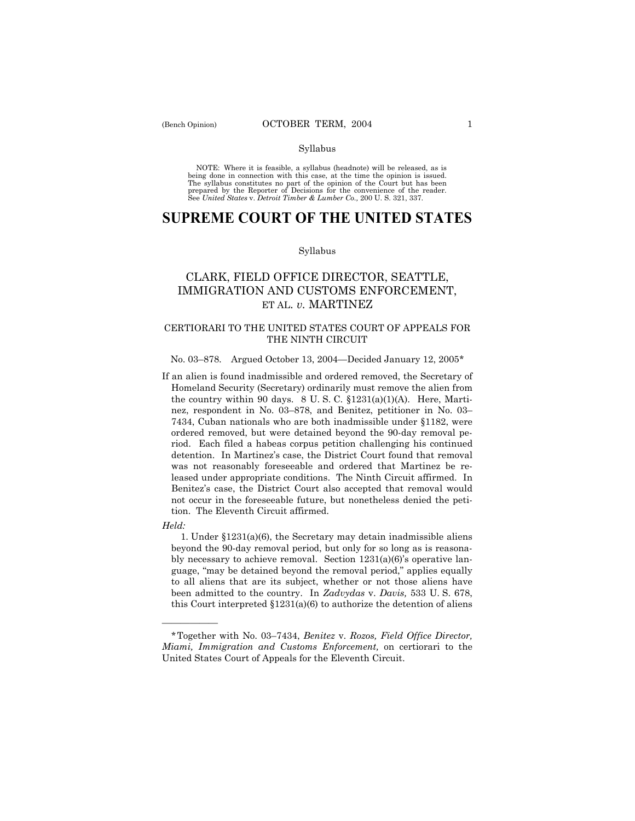### Syllabus

NOTE: Where it is feasible, a syllabus (headnote) will be released, as is being done in connection with this case, at the time the opinion is issued. The syllabus constitutes no part of the opinion of the Court but has been<br>prepared by the Reporter of Decisions for the convenience of the reader.<br>See United States v. Detroit Timber & Lumber Co., 200 U. S. 321, 337.

# **SUPREME COURT OF THE UNITED STATES**

#### Syllabus

## CLARK, FIELD OFFICE DIRECTOR, SEATTLE, IMMIGRATION AND CUSTOMS ENFORCEMENT, ET AL. *v.* MARTINEZ

### CERTIORARI TO THE UNITED STATES COURT OF APPEALS FOR THE NINTH CIRCUIT

### No. 03-878. Argued October 13, 2004–Decided January 12, 2005\*

If an alien is found inadmissible and ordered removed, the Secretary of Homeland Security (Secretary) ordinarily must remove the alien from the country within 90 days.  $8 \text{ U.S. C. } \S 1231(a)(1)(A)$ . Here, Martinez, respondent in No. 03–878, and Benitez, petitioner in No. 03– 7434, Cuban nationals who are both inadmissible under ß1182, were ordered removed, but were detained beyond the 90-day removal period. Each filed a habeas corpus petition challenging his continued detention. In Martinezís case, the District Court found that removal was not reasonably foreseeable and ordered that Martinez be released under appropriate conditions. The Ninth Circuit affirmed. In Benitezís case, the District Court also accepted that removal would not occur in the foreseeable future, but nonetheless denied the petition. The Eleventh Circuit affirmed.

*Held:* 

óóóóóó

1. Under  $$1231(a)(6)$ , the Secretary may detain inadmissible aliens beyond the 90-day removal period, but only for so long as is reasonably necessary to achieve removal. Section  $1231(a)(6)$ 's operative language, "may be detained beyond the removal period," applies equally to all aliens that are its subject, whether or not those aliens have been admitted to the country. In *Zadvydas* v. *Davis,* 533 U. S. 678, this Court interpreted  $$1231(a)(6)$  to authorize the detention of aliens

<sup>\*</sup>Together with No. 03ñ7434, *Benitez* v. *Rozos, Field Office Director, Miami, Immigration and Customs Enforcement,* on certiorari to the United States Court of Appeals for the Eleventh Circuit.